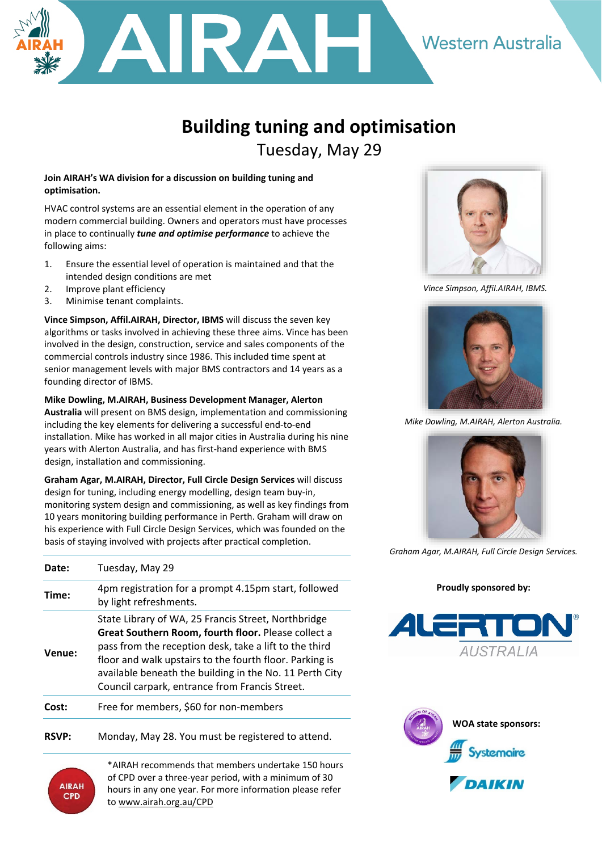

## **Building tuning and optimisation**  Tuesday, May 29

## **Join AIRAH's WA division for a discussion on building tuning and optimisation.**

HVAC control systems are an essential element in the operation of any modern commercial building. Owners and operators must have processes in place to continually *tune and optimise performance* to achieve the following aims:

- 1. Ensure the essential level of operation is maintained and that the intended design conditions are met
- 2. Improve plant efficiency
- 3. Minimise tenant complaints.

**Vince Simpson, Affil.AIRAH, Director, IBMS** will discuss the seven key algorithms or tasks involved in achieving these three aims. Vince has been involved in the design, construction, service and sales components of the commercial controls industry since 1986. This included time spent at senior management levels with major BMS contractors and 14 years as a founding director of IBMS.

**Mike Dowling, M.AIRAH, Business Development Manager, Alerton Australia** will present on BMS design, implementation and commissioning including the key elements for delivering a successful end-to-end installation. Mike has worked in all major cities in Australia during his nine years with Alerton Australia, and has first-hand experience with BMS design, installation and commissioning.

**Graham Agar, M.AIRAH, Director, Full Circle Design Services** will discuss design for tuning, including energy modelling, design team buy-in, monitoring system design and commissioning, as well as key findings from 10 years monitoring building performance in Perth. Graham will draw on his experience with Full Circle Design Services, which was founded on the basis of staying involved with projects after practical completion.

| <b>Date:</b> | Tuesday, May 29                                                                                                                                                                                                                                                                                                                                     |
|--------------|-----------------------------------------------------------------------------------------------------------------------------------------------------------------------------------------------------------------------------------------------------------------------------------------------------------------------------------------------------|
| Time:        | 4pm registration for a prompt 4.15pm start, followed<br>by light refreshments.                                                                                                                                                                                                                                                                      |
| Venue:       | State Library of WA, 25 Francis Street, Northbridge<br><b>Great Southern Room, fourth floor.</b> Please collect a<br>pass from the reception desk, take a lift to the third<br>floor and walk upstairs to the fourth floor. Parking is<br>available beneath the building in the No. 11 Perth City<br>Council carpark, entrance from Francis Street. |
| rnst:        | Free for members, \$60 for non-members                                                                                                                                                                                                                                                                                                              |
|              |                                                                                                                                                                                                                                                                                                                                                     |

**RSVP:** Monday, May 28. You must be registered to attend.

\*AIRAH recommends that members undertake 150 hours of CPD over a three-year period, with a minimum of 30 hours in any one year. For more information please refer to [www.airah.org.au/](http://www.airah.org.au/)CPD



 *Vince Simpson, Affil.AIRAH, IBMS.*



*Mike Dowling, M.AIRAH, Alerton Australia.*



*Graham Agar, M.AIRAH, Full Circle Design Services.*

## **Proudly sponsored by:**





**AIRAH CPD**